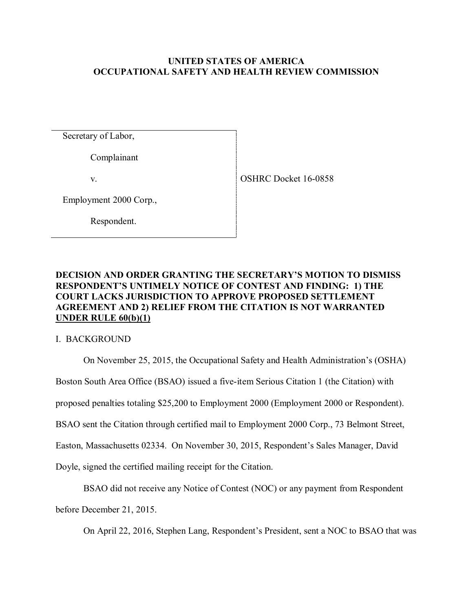# **UNITED STATES OF AMERICA OCCUPATIONAL SAFETY AND HEALTH REVIEW COMMISSION**

Secretary of Labor,

Complainant

v.

Employment 2000 Corp.,

Respondent.

# **DECISION AND ORDER GRANTING THE SECRETARY'S MOTION TO DISMISS RESPONDENT'S UNTIMELY NOTICE OF CONTEST AND FINDING: 1) THE COURT LACKS JURISDICTION TO APPROVE PROPOSED SETTLEMENT AGREEMENT AND 2) RELIEF FROM THE CITATION IS NOT WARRANTED UNDER RULE 60(b)(1)**

I. BACKGROUND

On November 25, 2015, the Occupational Safety and Health Administration's (OSHA)

Boston South Area Office (BSAO) issued a five-item Serious Citation 1 (the Citation) with

proposed penalties totaling \$25,200 to Employment 2000 (Employment 2000 or Respondent).

BSAO sent the Citation through certified mail to Employment 2000 Corp., 73 Belmont Street,

Easton, Massachusetts 02334. On November 30, 2015, Respondent's Sales Manager, David

Doyle, signed the certified mailing receipt for the Citation.

BSAO did not receive any Notice of Contest (NOC) or any payment from Respondent before December 21, 2015.

On April 22, 2016, Stephen Lang, Respondent's President, sent a NOC to BSAO that was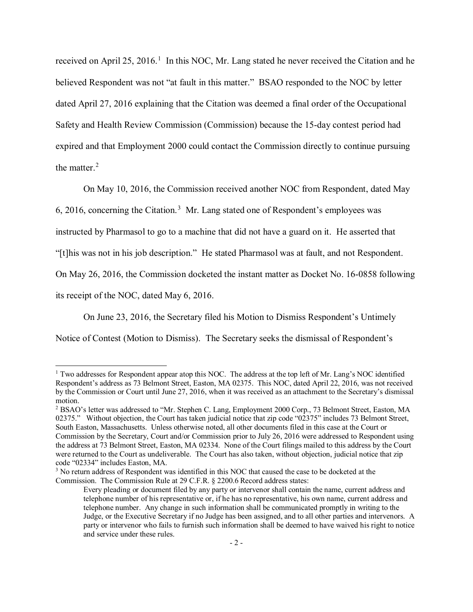received on April 25, 20[1](#page-1-0)6.<sup>1</sup> In this NOC, Mr. Lang stated he never received the Citation and he believed Respondent was not "at fault in this matter." BSAO responded to the NOC by letter dated April 27, 2016 explaining that the Citation was deemed a final order of the Occupational Safety and Health Review Commission (Commission) because the 15-day contest period had expired and that Employment 2000 could contact the Commission directly to continue pursuing the matter. $2$ 

On May 10, 2016, the Commission received another NOC from Respondent, dated May

6, 2016, concerning the Citation.<sup>[3](#page-1-2)</sup> Mr. Lang stated one of Respondent's employees was

instructed by Pharmasol to go to a machine that did not have a guard on it. He asserted that

"[t]his was not in his job description." He stated Pharmasol was at fault, and not Respondent.

On May 26, 2016, the Commission docketed the instant matter as Docket No. 16-0858 following

its receipt of the NOC, dated May 6, 2016.

 $\overline{a}$ 

On June 23, 2016, the Secretary filed his Motion to Dismiss Respondent's Untimely

Notice of Contest (Motion to Dismiss). The Secretary seeks the dismissal of Respondent's

<span id="page-1-0"></span><sup>&</sup>lt;sup>1</sup> Two addresses for Respondent appear atop this NOC. The address at the top left of Mr. Lang's NOC identified Respondent's address as 73 Belmont Street, Easton, MA 02375. This NOC, dated April 22, 2016, was not received by the Commission or Court until June 27, 2016, when it was received as an attachment to the Secretary's dismissal motion.

<span id="page-1-1"></span><sup>2</sup> BSAO's letter was addressed to "Mr. Stephen C. Lang, Employment 2000 Corp., 73 Belmont Street, Easton, MA 02375." Without objection, the Court has taken judicial notice that zip code "02375" includes 73 Belmont Street, South Easton, Massachusetts. Unless otherwise noted, all other documents filed in this case at the Court or Commission by the Secretary, Court and/or Commission prior to July 26, 2016 were addressed to Respondent using the address at 73 Belmont Street, Easton, MA 02334. None of the Court filings mailed to this address by the Court were returned to the Court as undeliverable. The Court has also taken, without objection, judicial notice that zip code "02334" includes Easton, MA.

<span id="page-1-2"></span><sup>&</sup>lt;sup>3</sup> No return address of Respondent was identified in this NOC that caused the case to be docketed at the Commission. The Commission Rule at 29 C.F.R. § 2200.6 Record address states:

Every pleading or document filed by any party or intervenor shall contain the name, current address and telephone number of his representative or, if he has no representative, his own name, current address and telephone number. Any change in such information shall be communicated promptly in writing to the Judge, or the Executive Secretary if no Judge has been assigned, and to all other parties and intervenors. A party or intervenor who fails to furnish such information shall be deemed to have waived his right to notice and service under these rules.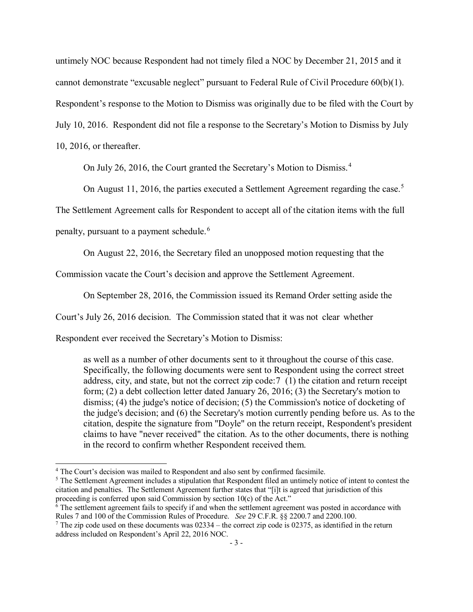untimely NOC because Respondent had not timely filed a NOC by December 21, 2015 and it cannot demonstrate "excusable neglect" pursuant to Federal Rule of Civil Procedure 60(b)(1). Respondent's response to the Motion to Dismiss was originally due to be filed with the Court by July 10, 2016. Respondent did not file a response to the Secretary's Motion to Dismiss by July 10, 2016, or thereafter.

On July 26, 2016, the Court granted the Secretary's Motion to Dismiss.<sup>[4](#page-2-0)</sup>

On August 11, 2016, the parties executed a Settlement Agreement regarding the case.<sup>[5](#page-2-1)</sup>

The Settlement Agreement calls for Respondent to accept all of the citation items with the full

penalty, pursuant to a payment schedule.<sup>[6](#page-2-2)</sup>

 $\overline{a}$ 

On August 22, 2016, the Secretary filed an unopposed motion requesting that the

Commission vacate the Court's decision and approve the Settlement Agreement.

On September 28, 2016, the Commission issued its Remand Order setting aside the

Court's July 26, 2016 decision. The Commission stated that it was not clear whether

Respondent ever received the Secretary's Motion to Dismiss:

as well as a number of other documents sent to it throughout the course of this case. Specifically, the following documents were sent to Respondent using the correct street address, city, and state, but not the correct zip code:[7](#page-2-3) (1) the citation and return receipt form; (2) a debt collection letter dated January 26, 2016; (3) the Secretary's motion to dismiss; (4) the judge's notice of decision; (5) the Commission's notice of docketing of the judge's decision; and (6) the Secretary's motion currently pending before us. As to the citation, despite the signature from "Doyle" on the return receipt, Respondent's president claims to have "never received" the citation. As to the other documents, there is nothing in the record to confirm whether Respondent received them.

<span id="page-2-0"></span><sup>4</sup> The Court's decision was mailed to Respondent and also sent by confirmed facsimile.

<span id="page-2-1"></span><sup>&</sup>lt;sup>5</sup> The Settlement Agreement includes a stipulation that Respondent filed an untimely notice of intent to contest the citation and penalties. The Settlement Agreement further states that "[i]t is agreed that jurisdiction of this proceeding is conferred upon said Commission by section 10(c) of the Act."

<span id="page-2-2"></span> $\overline{6}$  The settlement agreement fails to specify if and when the settlement agreement was posted in accordance with Rules 7 and 100 of the Commission Rules of Procedure. *See* 29 C.F.R. §§ 2200.7 and 2200.100.

<span id="page-2-3"></span><sup>&</sup>lt;sup>7</sup> The zip code used on these documents was  $02334$  – the correct zip code is 02375, as identified in the return address included on Respondent's April 22, 2016 NOC.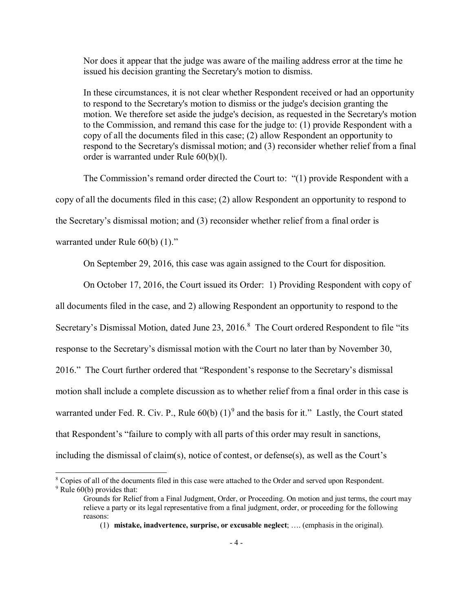Nor does it appear that the judge was aware of the mailing address error at the time he issued his decision granting the Secretary's motion to dismiss.

In these circumstances, it is not clear whether Respondent received or had an opportunity to respond to the Secretary's motion to dismiss or the judge's decision granting the motion. We therefore set aside the judge's decision, as requested in the Secretary's motion to the Commission, and remand this case for the judge to: (1) provide Respondent with a copy of all the documents filed in this case; (2) allow Respondent an opportunity to respond to the Secretary's dismissal motion; and (3) reconsider whether relief from a final order is warranted under Rule 60(b)(l).

The Commission's remand order directed the Court to: "(1) provide Respondent with a copy of all the documents filed in this case; (2) allow Respondent an opportunity to respond to the Secretary's dismissal motion; and (3) reconsider whether relief from a final order is warranted under Rule 60(b) (1)."

On September 29, 2016, this case was again assigned to the Court for disposition.

On October 17, 2016, the Court issued its Order: 1) Providing Respondent with copy of all documents filed in the case, and 2) allowing Respondent an opportunity to respond to the Secretary's Dismissal Motion, dated June 23, 2016.<sup>[8](#page-3-0)</sup> The Court ordered Respondent to file "its response to the Secretary's dismissal motion with the Court no later than by November 30, 2016." The Court further ordered that "Respondent's response to the Secretary's dismissal motion shall include a complete discussion as to whether relief from a final order in this case is warranted under Fed. R. Civ. P., Rule  $60(b)$  (1)<sup>[9](#page-3-1)</sup> and the basis for it." Lastly, the Court stated that Respondent's "failure to comply with all parts of this order may result in sanctions, including the dismissal of claim(s), notice of contest, or defense(s), as well as the Court's

(1) **mistake, inadvertence, surprise, or excusable neglect**; …. (emphasis in the original).

<span id="page-3-1"></span><span id="page-3-0"></span><sup>&</sup>lt;sup>8</sup> Copies of all of the documents filed in this case were attached to the Order and served upon Respondent. <sup>9</sup> Rule 60(b) provides that:

Grounds for Relief from a Final Judgment, Order, or Proceeding. On motion and just terms, the court may relieve a party or its legal representative from a final judgment, order, or proceeding for the following reasons: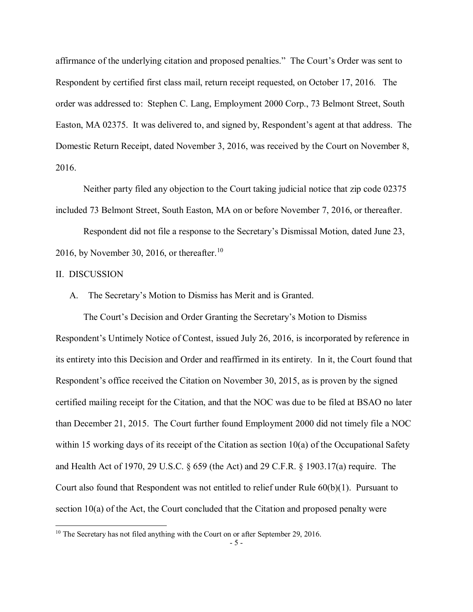affirmance of the underlying citation and proposed penalties." The Court's Order was sent to Respondent by certified first class mail, return receipt requested, on October 17, 2016. The order was addressed to: Stephen C. Lang, Employment 2000 Corp., 73 Belmont Street, South Easton, MA 02375. It was delivered to, and signed by, Respondent's agent at that address. The Domestic Return Receipt, dated November 3, 2016, was received by the Court on November 8, 2016.

Neither party filed any objection to the Court taking judicial notice that zip code 02375 included 73 Belmont Street, South Easton, MA on or before November 7, 2016, or thereafter.

Respondent did not file a response to the Secretary's Dismissal Motion, dated June 23, 2016, by November 30, 2016, or thereafter.<sup>[10](#page-4-0)</sup>

## II. DISCUSSION

 $\overline{a}$ 

A. The Secretary's Motion to Dismiss has Merit and is Granted.

The Court's Decision and Order Granting the Secretary's Motion to Dismiss Respondent's Untimely Notice of Contest, issued July 26, 2016, is incorporated by reference in its entirety into this Decision and Order and reaffirmed in its entirety. In it, the Court found that Respondent's office received the Citation on November 30, 2015, as is proven by the signed certified mailing receipt for the Citation, and that the NOC was due to be filed at BSAO no later than December 21, 2015. The Court further found Employment 2000 did not timely file a NOC within 15 working days of its receipt of the Citation as section  $10(a)$  of the Occupational Safety and Health Act of 1970, 29 U.S.C. § 659 (the Act) and 29 C.F.R. § 1903.17(a) require. The Court also found that Respondent was not entitled to relief under Rule 60(b)(1). Pursuant to section 10(a) of the Act, the Court concluded that the Citation and proposed penalty were

<span id="page-4-0"></span> $10$  The Secretary has not filed anything with the Court on or after September 29, 2016.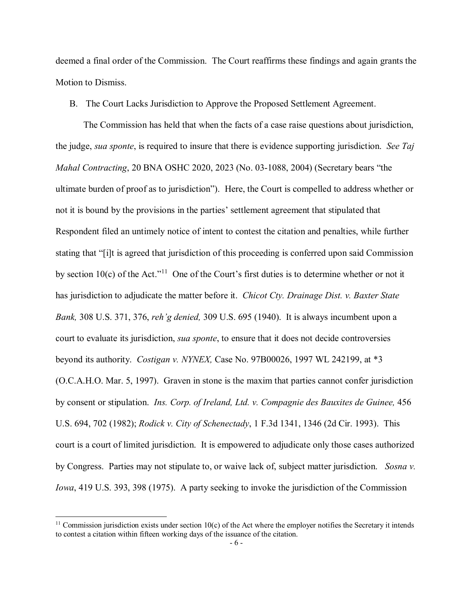deemed a final order of the Commission. The Court reaffirms these findings and again grants the Motion to Dismiss.

B. The Court Lacks Jurisdiction to Approve the Proposed Settlement Agreement.

The Commission has held that when the facts of a case raise questions about jurisdiction, the judge, *sua sponte*, is required to insure that there is evidence supporting jurisdiction. *See Taj Mahal Contracting*, 20 BNA OSHC 2020, 2023 (No. 03-1088, 2004) (Secretary bears "the ultimate burden of proof as to jurisdiction"). Here, the Court is compelled to address whether or not it is bound by the provisions in the parties' settlement agreement that stipulated that Respondent filed an untimely notice of intent to contest the citation and penalties, while further stating that "[i]t is agreed that jurisdiction of this proceeding is conferred upon said Commission by section 10(c) of the Act."[11](#page-5-0) One of the Court's first duties is to determine whether or not it has jurisdiction to adjudicate the matter before it. *Chicot Cty. Drainage Dist. v. Baxter State Bank,* 308 U.S. 371, 376, *reh'g denied,* 309 U.S. 695 (1940). It is always incumbent upon a court to evaluate its jurisdiction, *sua sponte*, to ensure that it does not decide controversies beyond its authority. *Costigan v. NYNEX,* Case No. 97B00026, 1997 WL 242199, at \*3 (O.C.A.H.O. Mar. 5, 1997). Graven in stone is the maxim that parties cannot confer jurisdiction by consent or stipulation. *Ins. Corp. of Ireland, Ltd. v. Compagnie des Bauxites de Guinee,* 456 U.S. 694, 702 (1982); *Rodick v. City of Schenectady*, 1 F.3d 1341, 1346 (2d Cir. 1993). This court is a court of limited jurisdiction. It is empowered to adjudicate only those cases authorized by Congress. Parties may not stipulate to, or waive lack of, subject matter jurisdiction. *Sosna v. Iowa*, 419 U.S. 393, 398 (1975). A party seeking to invoke the jurisdiction of the Commission

<span id="page-5-0"></span> $11$  Commission jurisdiction exists under section  $10(c)$  of the Act where the employer notifies the Secretary it intends to contest a citation within fifteen working days of the issuance of the citation.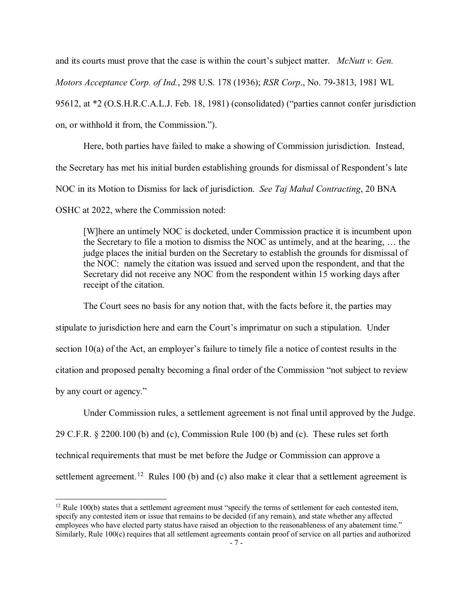and its courts must prove that the case is within the court's subject matter. *McNutt v. Gen. Motors Acceptance Corp. of Ind.*, 298 U.S. 178 (1936); *RSR Corp*., No. 79-3813, 1981 WL 95612, at \*2 (O.S.H.R.C.A.L.J. Feb. 18, 1981) (consolidated) ("parties cannot confer jurisdiction on, or withhold it from, the Commission.").

Here, both parties have failed to make a showing of Commission jurisdiction. Instead, the Secretary has met his initial burden establishing grounds for dismissal of Respondent's late NOC in its Motion to Dismiss for lack of jurisdiction. *See Taj Mahal Contracting*, 20 BNA OSHC at 2022, where the Commission noted:

[W]here an untimely NOC is docketed, under Commission practice it is incumbent upon the Secretary to file a motion to dismiss the NOC as untimely, and at the hearing, … the judge places the initial burden on the Secretary to establish the grounds for dismissal of the NOC: namely the citation was issued and served upon the respondent, and that the Secretary did not receive any NOC from the respondent within 15 working days after receipt of the citation.

The Court sees no basis for any notion that, with the facts before it, the parties may stipulate to jurisdiction here and earn the Court's imprimatur on such a stipulation. Under section 10(a) of the Act, an employer's failure to timely file a notice of contest results in the citation and proposed penalty becoming a final order of the Commission "not subject to review by any court or agency."

Under Commission rules, a settlement agreement is not final until approved by the Judge. 29 C.F.R. § 2200.100 (b) and (c), Commission Rule 100 (b) and (c). These rules set forth technical requirements that must be met before the Judge or Commission can approve a settlement agreement.<sup>[12](#page-6-0)</sup> Rules 100 (b) and (c) also make it clear that a settlement agreement is

<span id="page-6-0"></span><sup>&</sup>lt;sup>12</sup> Rule 100(b) states that a settlement agreement must "specify the terms of settlement for each contested item, specify any contested item or issue that remains to be decided (if any remain), and state whether any affected employees who have elected party status have raised an objection to the reasonableness of any abatement time." Similarly, Rule 100(c) requires that all settlement agreements contain proof of service on all parties and authorized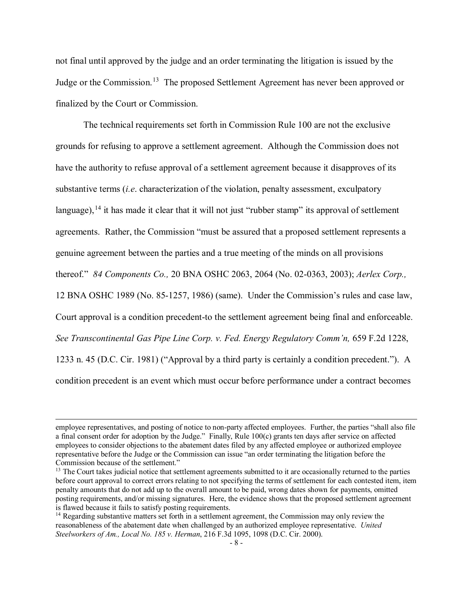not final until approved by the judge and an order terminating the litigation is issued by the Judge or the Commission.<sup>13</sup> The proposed Settlement Agreement has never been approved or finalized by the Court or Commission.

The technical requirements set forth in Commission Rule 100 are not the exclusive grounds for refusing to approve a settlement agreement. Although the Commission does not have the authority to refuse approval of a settlement agreement because it disapproves of its substantive terms (*i.e*. characterization of the violation, penalty assessment, exculpatory language),  $^{14}$  $^{14}$  $^{14}$  it has made it clear that it will not just "rubber stamp" its approval of settlement agreements. Rather, the Commission "must be assured that a proposed settlement represents a genuine agreement between the parties and a true meeting of the minds on all provisions thereof." *84 Components Co.,* 20 BNA OSHC 2063, 2064 (No. 02-0363, 2003); *Aerlex Corp.,*  12 BNA OSHC 1989 (No. 85-1257, 1986) (same). Under the Commission's rules and case law, Court approval is a condition precedent-to the settlement agreement being final and enforceable. *See Transcontinental Gas Pipe Line Corp. v. Fed. Energy Regulatory Comm'n,* 659 F.2d 1228, 1233 n. 45 (D.C. Cir. 1981) ("Approval by a third party is certainly a condition precedent.").A condition precedent is an event which must occur before performance under a contract becomes

employee representatives, and posting of notice to non-party affected employees. Further, the parties "shall also file a final consent order for adoption by the Judge." Finally, Rule 100(c) grants ten days after service on affected employees to consider objections to the abatement dates filed by any affected employee or authorized employee representative before the Judge or the Commission can issue "an order terminating the litigation before the Commission because of the settlement."

<span id="page-7-0"></span><sup>&</sup>lt;sup>13</sup> The Court takes judicial notice that settlement agreements submitted to it are occasionally returned to the parties before court approval to correct errors relating to not specifying the terms of settlement for each contested item, item penalty amounts that do not add up to the overall amount to be paid, wrong dates shown for payments, omitted posting requirements, and/or missing signatures. Here, the evidence shows that the proposed settlement agreement is flawed because it fails to satisfy posting requirements.

<span id="page-7-1"></span><sup>&</sup>lt;sup>14</sup> Regarding substantive matters set forth in a settlement agreement, the Commission may only review the reasonableness of the abatement date when challenged by an authorized employee representative. *United Steelworkers of Am., Local No. 185 v. Herman*, 216 F.3d 1095, 1098 (D.C. Cir. 2000).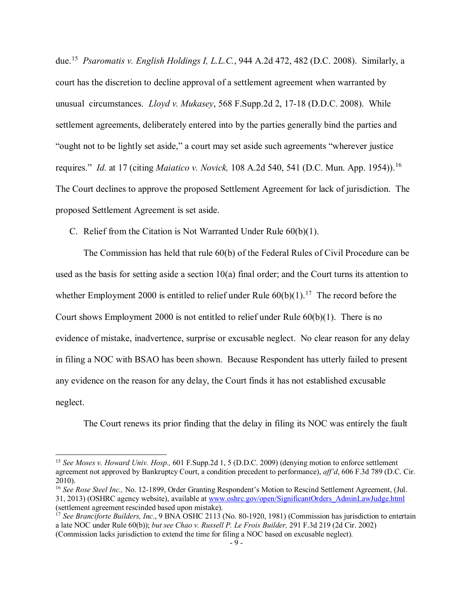due.[15](#page-8-0) *Psaromatis v. English Holdings I, L.L.C.*, 944 A.2d 472, 482 (D.C. 2008). Similarly, a court has the discretion to decline approval of a settlement agreement when warranted by unusual circumstances. *Lloyd v. Mukasey*, 568 F.Supp.2d 2, 17-18 (D.D.C. 2008). While settlement agreements, deliberately entered into by the parties generally bind the parties and "ought not to be lightly set aside," a court may set aside such agreements "wherever justice requires." *Id.* at 17 (citing *Maiatico v. Novick,* 108 A.2d 540, 541 (D.C. Mun. App. 1954)).[16](#page-8-1) The Court declines to approve the proposed Settlement Agreement for lack of jurisdiction. The proposed Settlement Agreement is set aside.

C. Relief from the Citation is Not Warranted Under Rule 60(b)(1).

 $\overline{a}$ 

The Commission has held that rule 60(b) of the Federal Rules of Civil Procedure can be used as the basis for setting aside a section 10(a) final order; and the Court turns its attention to whether Employment 2000 is entitled to relief under Rule  $60(b)(1)$ .<sup>17</sup> The record before the Court shows Employment 2000 is not entitled to relief under Rule 60(b)(1). There is no evidence of mistake, inadvertence, surprise or excusable neglect. No clear reason for any delay in filing a NOC with BSAO has been shown. Because Respondent has utterly failed to present any evidence on the reason for any delay, the Court finds it has not established excusable neglect.

The Court renews its prior finding that the delay in filing its NOC was entirely the fault

<span id="page-8-0"></span><sup>15</sup> *See Moses v. Howard Univ. Hosp.,* 601 F.Supp.2d 1, 5 (D.D.C. 2009) (denying motion to enforce settlement agreement not approved by Bankruptcy Court, a condition precedent to performance), *aff'd*, 606 F.3d 789 (D.C. Cir. 2010).

<span id="page-8-1"></span><sup>&</sup>lt;sup>16</sup> See Rose Steel Inc., No. 12-1899, Order Granting Respondent's Motion to Rescind Settlement Agreement, (Jul. 31, 2013) (OSHRC agency website), available at www.oshrc.gov/open/SignificantOrders\_AdminLawJudge.html (settlement agreement rescinded based upon mistake).

<span id="page-8-2"></span><sup>&</sup>lt;sup>17</sup> See Branciforte Builders, Inc., 9 BNA OSHC 2113 (No. 80-1920, 1981) (Commission has jurisdiction to entertain a late NOC under Rule 60(b)); *but see Chao v. Russell P. Le Frois Builder,* 291 F.3d 219 (2d Cir. 2002) (Commission lacks jurisdiction to extend the time for filing a NOC based on excusable neglect).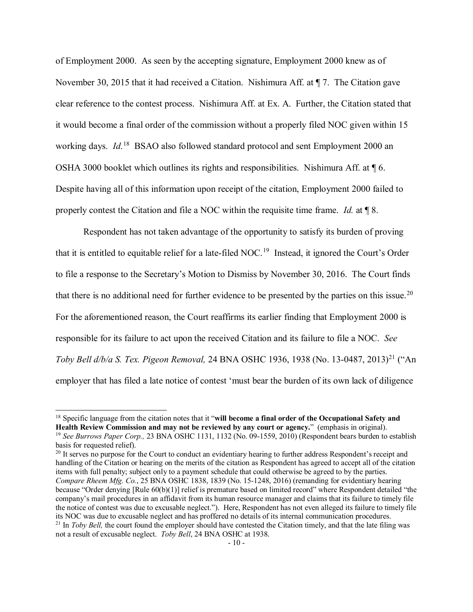of Employment 2000. As seen by the accepting signature, Employment 2000 knew as of November 30, 2015 that it had received a Citation. Nishimura Aff. at ¶ 7. The Citation gave clear reference to the contest process. Nishimura Aff. at Ex. A. Further, the Citation stated that it would become a final order of the commission without a properly filed NOC given within 15 working days. *Id*.<sup>18</sup> BSAO also followed standard protocol and sent Employment 2000 an OSHA 3000 booklet which outlines its rights and responsibilities. Nishimura Aff. at ¶ 6. Despite having all of this information upon receipt of the citation, Employment 2000 failed to properly contest the Citation and file a NOC within the requisite time frame. *Id.* at ¶ 8.

Respondent has not taken advantage of the opportunity to satisfy its burden of proving that it is entitled to equitable relief for a late-filed NOC.[19](#page-9-1) Instead, it ignored the Court's Order to file a response to the Secretary's Motion to Dismiss by November 30, 2016. The Court finds that there is no additional need for further evidence to be presented by the parties on this issue.<sup>20</sup> For the aforementioned reason, the Court reaffirms its earlier finding that Employment 2000 is responsible for its failure to act upon the received Citation and its failure to file a NOC. *See Toby Bell d/b/a S. Tex. Pigeon Removal,* 24 BNA OSHC 1936, 1938 (No. 13-0487, 2013)<sup>[21](#page-9-3)</sup> ("An employer that has filed a late notice of contest 'must bear the burden of its own lack of diligence

<span id="page-9-0"></span><sup>&</sup>lt;sup>18</sup> Specific language from the citation notes that it "**will become a final order of the Occupational Safety and Health Review Commission and may not be reviewed by any court or agency.**" (emphasis in original). <sup>19</sup> *See Burrows Paper Corp.,* 23 BNA OSHC 1131, 1132 (No. 09-1559, 2010) (Respondent bears burden to establish

<span id="page-9-1"></span>basis for requested relief).

<span id="page-9-3"></span><span id="page-9-2"></span><sup>&</sup>lt;sup>20</sup> It serves no purpose for the Court to conduct an evidentiary hearing to further address Respondent's receipt and handling of the Citation or hearing on the merits of the citation as Respondent has agreed to accept all of the citation items with full penalty; subject only to a payment schedule that could otherwise be agreed to by the parties. *Compare Rheem Mfg. Co.*, 25 BNA OSHC 1838, 1839 (No. 15-1248, 2016) (remanding for evidentiary hearing because "Order denying [Rule 60(b)(1)] relief is premature based on limited record" where Respondent detailed "the company's mail procedures in an affidavit from its human resource manager and claims that its failure to timely file the notice of contest was due to excusable neglect."). Here, Respondent has not even alleged its failure to timely file its NOC was due to excusable neglect and has proffered no details of its internal communication procedures.<sup>21</sup> In *Toby Bell*, the court found the employer should have contested the Citation timely, and that the late filing was not a result of excusable neglect. *Toby Bell*, 24 BNA OSHC at 1938.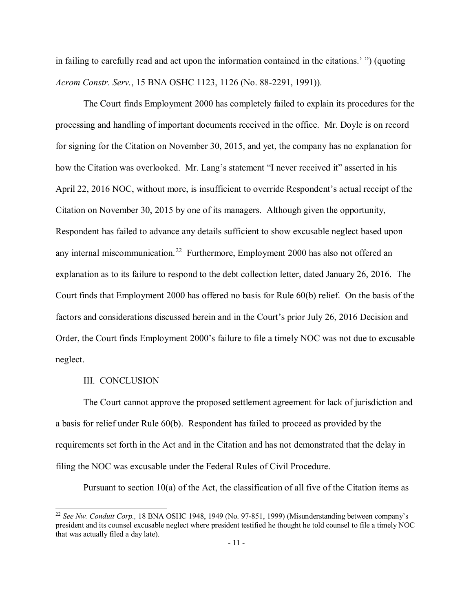in failing to carefully read and act upon the information contained in the citations.' ") (quoting *Acrom Constr. Serv.*, 15 BNA OSHC 1123, 1126 (No. 88-2291, 1991)).

The Court finds Employment 2000 has completely failed to explain its procedures for the processing and handling of important documents received in the office. Mr. Doyle is on record for signing for the Citation on November 30, 2015, and yet, the company has no explanation for how the Citation was overlooked. Mr. Lang's statement "I never received it" asserted in his April 22, 2016 NOC, without more, is insufficient to override Respondent's actual receipt of the Citation on November 30, 2015 by one of its managers. Although given the opportunity, Respondent has failed to advance any details sufficient to show excusable neglect based upon any internal miscommunication.<sup>22</sup> Furthermore, Employment 2000 has also not offered an explanation as to its failure to respond to the debt collection letter, dated January 26, 2016. The Court finds that Employment 2000 has offered no basis for Rule 60(b) relief. On the basis of the factors and considerations discussed herein and in the Court's prior July 26, 2016 Decision and Order, the Court finds Employment 2000's failure to file a timely NOC was not due to excusable neglect.

### III. CONCLUSION

 $\overline{a}$ 

The Court cannot approve the proposed settlement agreement for lack of jurisdiction and a basis for relief under Rule 60(b). Respondent has failed to proceed as provided by the requirements set forth in the Act and in the Citation and has not demonstrated that the delay in filing the NOC was excusable under the Federal Rules of Civil Procedure.

Pursuant to section 10(a) of the Act, the classification of all five of the Citation items as

<span id="page-10-0"></span><sup>22</sup> *See Nw. Conduit Corp.,* 18 BNA OSHC 1948, 1949 (No. 97-851, 1999) (Misunderstanding between company's president and its counsel excusable neglect where president testified he thought he told counsel to file a timely NOC that was actually filed a day late).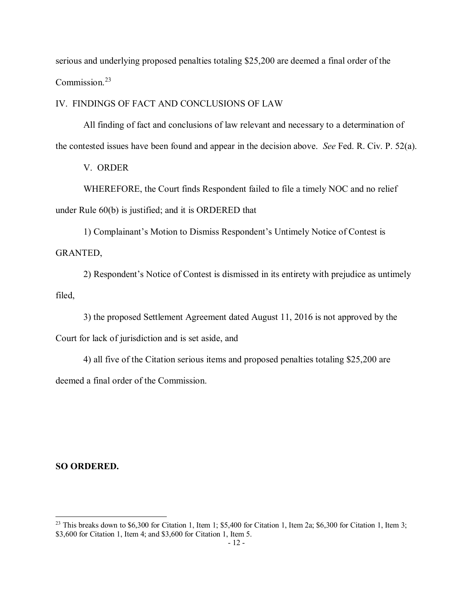serious and underlying proposed penalties totaling \$25,200 are deemed a final order of the Commission.[23](#page-11-0)

IV. FINDINGS OF FACT AND CONCLUSIONS OF LAW

All finding of fact and conclusions of law relevant and necessary to a determination of the contested issues have been found and appear in the decision above. *See* Fed. R. Civ. P. 52(a).

V. ORDER

WHEREFORE, the Court finds Respondent failed to file a timely NOC and no relief under Rule 60(b) is justified; and it is ORDERED that

1) Complainant's Motion to Dismiss Respondent's Untimely Notice of Contest is GRANTED,

2) Respondent's Notice of Contest is dismissed in its entirety with prejudice as untimely filed,

3) the proposed Settlement Agreement dated August 11, 2016 is not approved by the Court for lack of jurisdiction and is set aside, and

4) all five of the Citation serious items and proposed penalties totaling \$25,200 are deemed a final order of the Commission.

### **SO ORDERED.**

<span id="page-11-0"></span> $^{23}$  This breaks down to \$6,300 for Citation 1, Item 1; \$5,400 for Citation 1, Item 2a; \$6,300 for Citation 1, Item 3; \$3,600 for Citation 1, Item 4; and \$3,600 for Citation 1, Item 5.